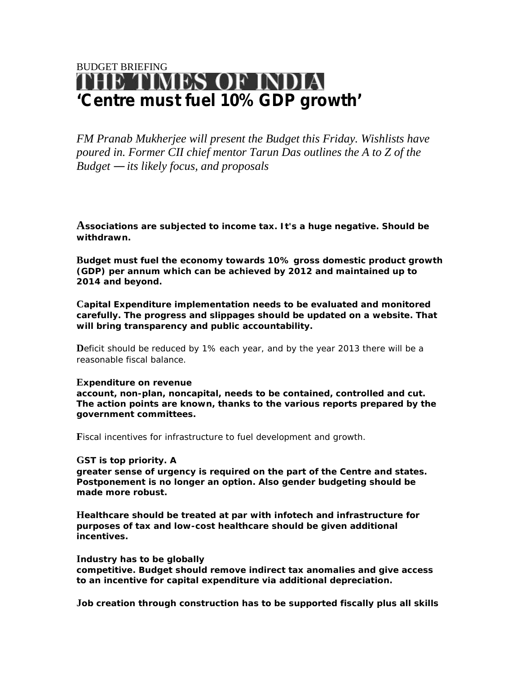# BUDGET BRIEFING<br>THE TIMES OF INDIA **'Centre must fuel 10% GDP growth'**

*FM Pranab Mukherjee will present the Budget this Friday. Wishlists have poured in. Former CII chief mentor Tarun Das outlines the A to Z of the Budget — its likely focus, and proposals*

**Associations are subjected to income tax. It's a huge negative. Should be withdrawn.**

**Budget must fuel the economy towards 10% gross domestic product growth (GDP) per annum which can be achieved by 2012 and maintained up to 2014 and beyond.**

**Capital Expenditure implementation needs to be evaluated and monitored carefully. The progress and slippages should be updated on a website. That will bring transparency and public accountability.**

**D**eficit should be reduced by 1% each year, and by the year 2013 there will be a reasonable fiscal balance.

#### **Expenditure on revenue**

**account, non-plan, noncapital, needs to be contained, controlled and cut. The action points are known, thanks to the various reports prepared by the government committees.**

**F**iscal incentives for infrastructure to fuel development and growth.

## **GST is top priority. A**

**greater sense of urgency is required on the part of the Centre and states. Postponement is no longer an option. Also gender budgeting should be made more robust.**

**Healthcare should be treated at par with infotech and infrastructure for purposes of tax and low-cost healthcare should be given additional incentives.**

#### **Industry has to be globally**

**competitive. Budget should remove indirect tax anomalies and give access to an incentive for capital expenditure via additional depreciation.**

**Job creation through construction has to be supported fiscally plus all skills**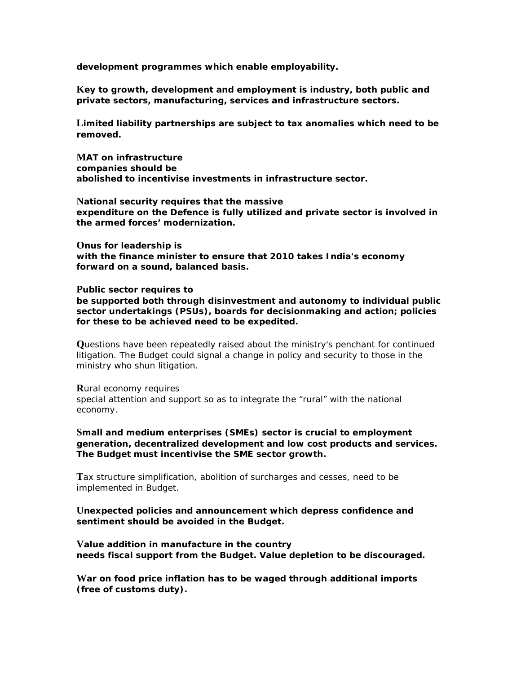**development programmes which enable employability.**

**Key to growth, development and employment is industry, both public and private sectors, manufacturing, services and infrastructure sectors.**

**Limited liability partnerships are subject to tax anomalies which need to be removed.**

**MAT on infrastructure companies should be abolished to incentivise investments in infrastructure sector.**

**National security requires that the massive expenditure on the Defence is fully utilized and private sector is involved in the armed forces' modernization.**

**Onus for leadership is with the finance minister to ensure that 2010 takes India's economy forward on a sound, balanced basis.**

**Public sector requires to**

**be supported both through disinvestment and autonomy to individual public sector undertakings (PSUs), boards for decisionmaking and action; policies for these to be achieved need to be expedited.**

**Q**uestions have been repeatedly raised about the ministry's penchant for continued litigation. The Budget could signal a change in policy and security to those in the ministry who shun litigation.

**R**ural economy requires

special attention and support so as to integrate the "rural" with the national economy.

**Small and medium enterprises (SMEs) sector is crucial to employment generation, decentralized development and low cost products and services. The Budget must incentivise the SME sector growth.**

**T**ax structure simplification, abolition of surcharges and cesses, need to be implemented in Budget.

**Unexpected policies and announcement which depress confidence and sentiment should be avoided in the Budget.**

**Value addition in manufacture in the country needs fiscal support from the Budget. Value depletion to be discouraged.**

**War on food price inflation has to be waged through additional imports (free of customs duty).**